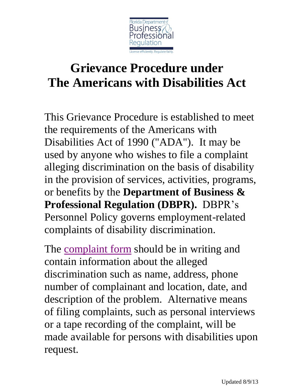

## **Grievance Procedure under The Americans with Disabilities Act**

This Grievance Procedure is established to meet the requirements of the Americans with Disabilities Act of 1990 ("ADA"). It may be used by anyone who wishes to file a complaint alleging discrimination on the basis of disability in the provision of services, activities, programs, or benefits by the **Department of Business & Professional Regulation (DBPR).** DBPR's Personnel Policy governs employment-related complaints of disability discrimination.

The [complaint form](http://www.dbpr.state.fl.us/adm/documents/complaintformmanualmaster_000.pdf) should be in writing and contain information about the alleged discrimination such as name, address, phone number of complainant and location, date, and description of the problem. Alternative means of filing complaints, such as personal interviews or a tape recording of the complaint, will be made available for persons with disabilities upon request.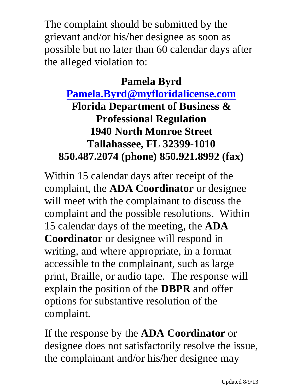The complaint should be submitted by the grievant and/or his/her designee as soon as possible but no later than 60 calendar days after the alleged violation to:

## **Pamela Byrd**

## **[Pamela.Byrd@myfloridalicense.com](mailto:Pamela.Byrd@myfloridalicense.com) Florida Department of Business & Professional Regulation 1940 North Monroe Street Tallahassee, FL 32399-1010 850.487.2074 (phone) 850.921.8992 (fax)**

Within 15 calendar days after receipt of the complaint, the **ADA Coordinator** or designee will meet with the complainant to discuss the complaint and the possible resolutions. Within 15 calendar days of the meeting, the **ADA Coordinator** or designee will respond in writing, and where appropriate, in a format accessible to the complainant, such as large print, Braille, or audio tape. The response will explain the position of the **DBPR** and offer options for substantive resolution of the complaint.

If the response by the **ADA Coordinator** or designee does not satisfactorily resolve the issue, the complainant and/or his/her designee may